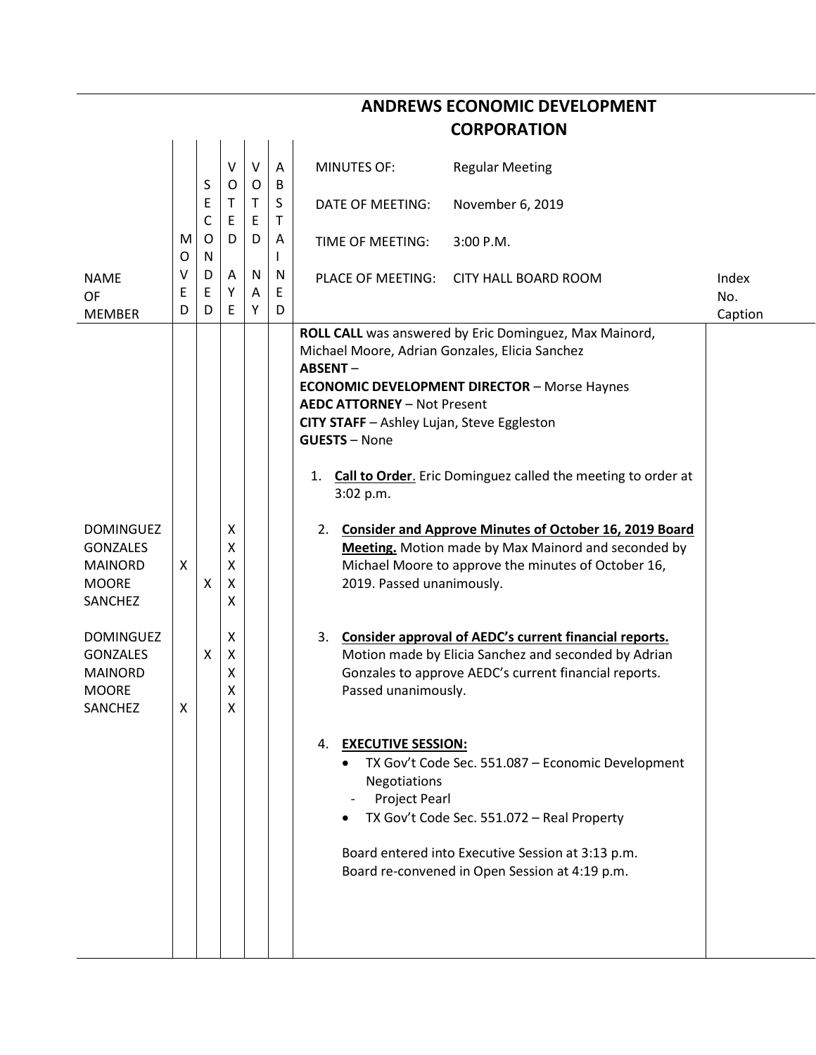| <b>CORPORATION</b>                                                                                                                                                                    |             |                  |                                                                             |             |                   |                                                                                                                                                                                                                                                                                                                                  |                                                                                                                                                                                                                                                                                                                                                                                                                                                                                                                                                                                                                                                                                                                                               |              |  |  |  |  |
|---------------------------------------------------------------------------------------------------------------------------------------------------------------------------------------|-------------|------------------|-----------------------------------------------------------------------------|-------------|-------------------|----------------------------------------------------------------------------------------------------------------------------------------------------------------------------------------------------------------------------------------------------------------------------------------------------------------------------------|-----------------------------------------------------------------------------------------------------------------------------------------------------------------------------------------------------------------------------------------------------------------------------------------------------------------------------------------------------------------------------------------------------------------------------------------------------------------------------------------------------------------------------------------------------------------------------------------------------------------------------------------------------------------------------------------------------------------------------------------------|--------------|--|--|--|--|
|                                                                                                                                                                                       |             | S                | $\sf V$<br>$\circ$                                                          | $\vee$<br>O | A<br>B            | <b>MINUTES OF:</b>                                                                                                                                                                                                                                                                                                               | <b>Regular Meeting</b>                                                                                                                                                                                                                                                                                                                                                                                                                                                                                                                                                                                                                                                                                                                        |              |  |  |  |  |
|                                                                                                                                                                                       |             | E<br>$\mathsf C$ | Τ<br>E                                                                      | T.<br>E     | S<br>Τ            | DATE OF MEETING:                                                                                                                                                                                                                                                                                                                 | November 6, 2019                                                                                                                                                                                                                                                                                                                                                                                                                                                                                                                                                                                                                                                                                                                              |              |  |  |  |  |
|                                                                                                                                                                                       | M<br>O      | O<br>N           | D                                                                           | D           | A<br>$\mathsf{I}$ | TIME OF MEETING:                                                                                                                                                                                                                                                                                                                 | $3:00$ P.M.                                                                                                                                                                                                                                                                                                                                                                                                                                                                                                                                                                                                                                                                                                                                   |              |  |  |  |  |
| <b>NAME</b><br>OF                                                                                                                                                                     | v<br>E      | D<br>Ε           | A<br>Υ                                                                      | N<br>A      | N<br>E            |                                                                                                                                                                                                                                                                                                                                  | PLACE OF MEETING: CITY HALL BOARD ROOM                                                                                                                                                                                                                                                                                                                                                                                                                                                                                                                                                                                                                                                                                                        | Index<br>No. |  |  |  |  |
| <b>MEMBER</b><br><b>DOMINGUEZ</b><br><b>GONZALES</b><br><b>MAINORD</b><br><b>MOORE</b><br>SANCHEZ<br><b>DOMINGUEZ</b><br><b>GONZALES</b><br><b>MAINORD</b><br><b>MOORE</b><br>SANCHEZ | D<br>X<br>X | D<br>x<br>x      | E<br>$\boldsymbol{\mathsf{X}}$<br>Χ<br>X<br>X<br>X<br>X<br>X<br>Χ<br>Χ<br>Χ | Y           | D                 | Michael Moore, Adrian Gonzales, Elicia Sanchez<br>ABSENT-<br><b>AEDC ATTORNEY - Not Present</b><br>CITY STAFF - Ashley Lujan, Steve Eggleston<br><b>GUESTS - None</b><br>1.<br>3:02 p.m.<br>2019. Passed unanimously.<br>3.<br>Passed unanimously.<br>4. EXECUTIVE SESSION:<br>$\bullet$<br>Negotiations<br><b>Project Pearl</b> | ROLL CALL was answered by Eric Dominguez, Max Mainord,<br><b>ECONOMIC DEVELOPMENT DIRECTOR - Morse Haynes</b><br>Call to Order. Eric Dominguez called the meeting to order at<br>2. Consider and Approve Minutes of October 16, 2019 Board<br>Meeting. Motion made by Max Mainord and seconded by<br>Michael Moore to approve the minutes of October 16,<br>Consider approval of AEDC's current financial reports.<br>Motion made by Elicia Sanchez and seconded by Adrian<br>Gonzales to approve AEDC's current financial reports.<br>TX Gov't Code Sec. 551.087 - Economic Development<br>TX Gov't Code Sec. 551.072 - Real Property<br>Board entered into Executive Session at 3:13 p.m.<br>Board re-convened in Open Session at 4:19 p.m. | Caption      |  |  |  |  |

## **ANDREWS ECONOMIC DEVELOPMENT**